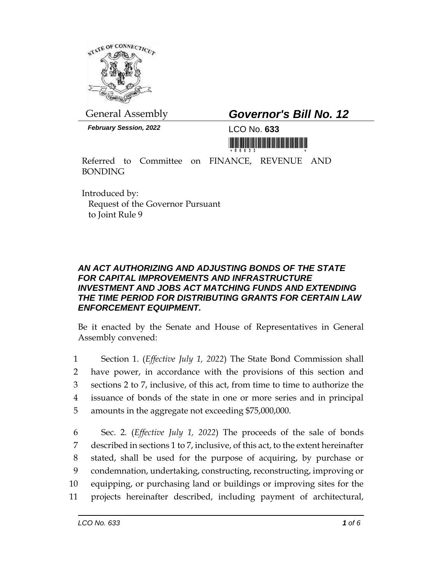

General Assembly *Governor's Bill No. 12*

*February Session, 2022* LCO No. **633**

<u> III de la construcción de la construcción de la construcción de la construcción de la construcción de la cons</u>

Referred to Committee on FINANCE, REVENUE AND BONDING

Introduced by: Request of the Governor Pursuant to Joint Rule 9

## *AN ACT AUTHORIZING AND ADJUSTING BONDS OF THE STATE FOR CAPITAL IMPROVEMENTS AND INFRASTRUCTURE INVESTMENT AND JOBS ACT MATCHING FUNDS AND EXTENDING THE TIME PERIOD FOR DISTRIBUTING GRANTS FOR CERTAIN LAW ENFORCEMENT EQUIPMENT.*

Be it enacted by the Senate and House of Representatives in General Assembly convened:

 Section 1. (*Effective July 1, 2022*) The State Bond Commission shall have power, in accordance with the provisions of this section and sections 2 to 7, inclusive, of this act, from time to time to authorize the issuance of bonds of the state in one or more series and in principal amounts in the aggregate not exceeding \$75,000,000.

 Sec. 2. (*Effective July 1, 2022*) The proceeds of the sale of bonds described in sections 1 to 7, inclusive, of this act, to the extent hereinafter stated, shall be used for the purpose of acquiring, by purchase or condemnation, undertaking, constructing, reconstructing, improving or equipping, or purchasing land or buildings or improving sites for the projects hereinafter described, including payment of architectural,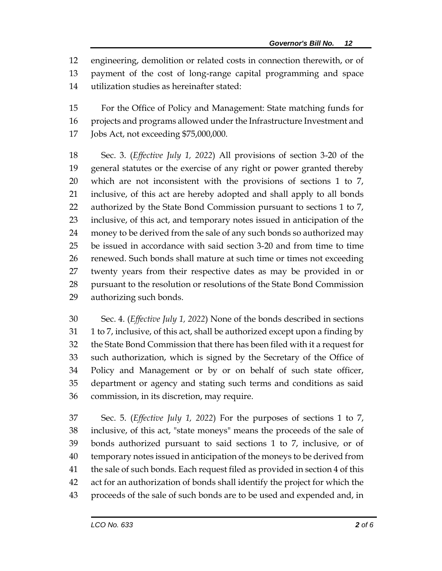engineering, demolition or related costs in connection therewith, or of payment of the cost of long-range capital programming and space utilization studies as hereinafter stated:

 For the Office of Policy and Management: State matching funds for projects and programs allowed under the Infrastructure Investment and Jobs Act, not exceeding \$75,000,000.

 Sec. 3. (*Effective July 1, 2022*) All provisions of section 3-20 of the general statutes or the exercise of any right or power granted thereby which are not inconsistent with the provisions of sections 1 to 7, inclusive, of this act are hereby adopted and shall apply to all bonds 22 authorized by the State Bond Commission pursuant to sections 1 to 7, inclusive, of this act, and temporary notes issued in anticipation of the money to be derived from the sale of any such bonds so authorized may be issued in accordance with said section 3-20 and from time to time renewed. Such bonds shall mature at such time or times not exceeding twenty years from their respective dates as may be provided in or pursuant to the resolution or resolutions of the State Bond Commission authorizing such bonds.

 Sec. 4. (*Effective July 1, 2022*) None of the bonds described in sections 1 to 7, inclusive, of this act, shall be authorized except upon a finding by the State Bond Commission that there has been filed with it a request for such authorization, which is signed by the Secretary of the Office of Policy and Management or by or on behalf of such state officer, department or agency and stating such terms and conditions as said commission, in its discretion, may require.

 Sec. 5. (*Effective July 1, 2022*) For the purposes of sections 1 to 7, inclusive, of this act, "state moneys" means the proceeds of the sale of bonds authorized pursuant to said sections 1 to 7, inclusive, or of temporary notes issued in anticipation of the moneys to be derived from the sale of such bonds. Each request filed as provided in section 4 of this act for an authorization of bonds shall identify the project for which the proceeds of the sale of such bonds are to be used and expended and, in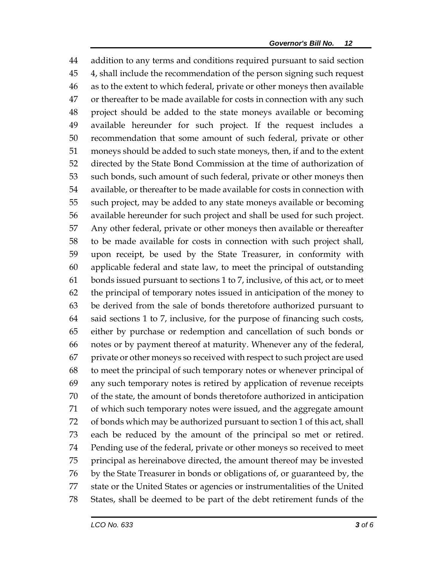addition to any terms and conditions required pursuant to said section 4, shall include the recommendation of the person signing such request as to the extent to which federal, private or other moneys then available or thereafter to be made available for costs in connection with any such project should be added to the state moneys available or becoming available hereunder for such project. If the request includes a recommendation that some amount of such federal, private or other moneys should be added to such state moneys, then, if and to the extent directed by the State Bond Commission at the time of authorization of such bonds, such amount of such federal, private or other moneys then available, or thereafter to be made available for costs in connection with such project, may be added to any state moneys available or becoming available hereunder for such project and shall be used for such project. Any other federal, private or other moneys then available or thereafter to be made available for costs in connection with such project shall, upon receipt, be used by the State Treasurer, in conformity with applicable federal and state law, to meet the principal of outstanding bonds issued pursuant to sections 1 to 7, inclusive, of this act, or to meet the principal of temporary notes issued in anticipation of the money to be derived from the sale of bonds theretofore authorized pursuant to said sections 1 to 7, inclusive, for the purpose of financing such costs, either by purchase or redemption and cancellation of such bonds or notes or by payment thereof at maturity. Whenever any of the federal, private or other moneys so received with respect to such project are used to meet the principal of such temporary notes or whenever principal of any such temporary notes is retired by application of revenue receipts of the state, the amount of bonds theretofore authorized in anticipation of which such temporary notes were issued, and the aggregate amount of bonds which may be authorized pursuant to section 1 of this act, shall each be reduced by the amount of the principal so met or retired. Pending use of the federal, private or other moneys so received to meet principal as hereinabove directed, the amount thereof may be invested by the State Treasurer in bonds or obligations of, or guaranteed by, the state or the United States or agencies or instrumentalities of the United States, shall be deemed to be part of the debt retirement funds of the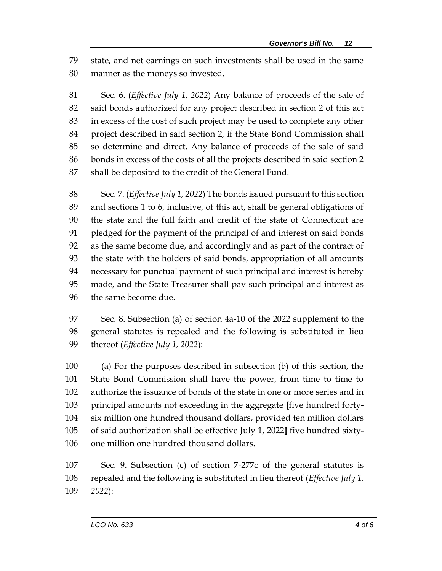state, and net earnings on such investments shall be used in the same manner as the moneys so invested.

 Sec. 6. (*Effective July 1, 2022*) Any balance of proceeds of the sale of said bonds authorized for any project described in section 2 of this act in excess of the cost of such project may be used to complete any other project described in said section 2, if the State Bond Commission shall so determine and direct. Any balance of proceeds of the sale of said bonds in excess of the costs of all the projects described in said section 2 shall be deposited to the credit of the General Fund.

 Sec. 7. (*Effective July 1, 2022*) The bonds issued pursuant to this section and sections 1 to 6, inclusive, of this act, shall be general obligations of the state and the full faith and credit of the state of Connecticut are pledged for the payment of the principal of and interest on said bonds as the same become due, and accordingly and as part of the contract of the state with the holders of said bonds, appropriation of all amounts necessary for punctual payment of such principal and interest is hereby made, and the State Treasurer shall pay such principal and interest as the same become due.

 Sec. 8. Subsection (a) of section 4a-10 of the 2022 supplement to the general statutes is repealed and the following is substituted in lieu thereof (*Effective July 1, 2022*):

 (a) For the purposes described in subsection (b) of this section, the State Bond Commission shall have the power, from time to time to authorize the issuance of bonds of the state in one or more series and in principal amounts not exceeding in the aggregate **[**five hundred forty- six million one hundred thousand dollars, provided ten million dollars of said authorization shall be effective July 1, 2022**]** five hundred sixty-one million one hundred thousand dollars.

 Sec. 9. Subsection (c) of section 7-277c of the general statutes is repealed and the following is substituted in lieu thereof (*Effective July 1, 2022*):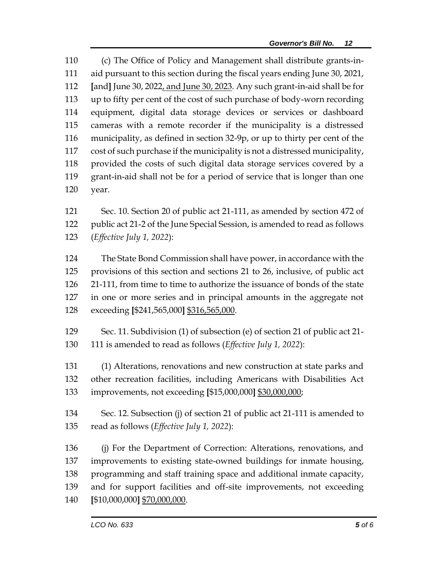(c) The Office of Policy and Management shall distribute grants-in- aid pursuant to this section during the fiscal years ending June 30, 2021, **[**and**]** June 30, 2022, and June 30, 2023. Any such grant-in-aid shall be for up to fifty per cent of the cost of such purchase of body-worn recording equipment, digital data storage devices or services or dashboard cameras with a remote recorder if the municipality is a distressed municipality, as defined in section 32-9p, or up to thirty per cent of the cost of such purchase if the municipality is not a distressed municipality, provided the costs of such digital data storage services covered by a grant-in-aid shall not be for a period of service that is longer than one year.

 Sec. 10. Section 20 of public act 21-111, as amended by section 472 of public act 21-2 of the June Special Session, is amended to read as follows (*Effective July 1, 2022*):

 The State Bond Commission shall have power, in accordance with the provisions of this section and sections 21 to 26, inclusive, of public act 21-111, from time to time to authorize the issuance of bonds of the state in one or more series and in principal amounts in the aggregate not exceeding **[**\$241,565,000**]** \$316,565,000.

 Sec. 11. Subdivision (1) of subsection (e) of section 21 of public act 21- 111 is amended to read as follows (*Effective July 1, 2022*):

 (1) Alterations, renovations and new construction at state parks and other recreation facilities, including Americans with Disabilities Act improvements, not exceeding **[**\$15,000,000**]** \$30,000,000;

 Sec. 12. Subsection (j) of section 21 of public act 21-111 is amended to read as follows (*Effective July 1, 2022*):

 (j) For the Department of Correction: Alterations, renovations, and improvements to existing state-owned buildings for inmate housing, 138 programming and staff training space and additional inmate capacity, and for support facilities and off-site improvements, not exceeding **[**\$10,000,000**]** \$70,000,000.